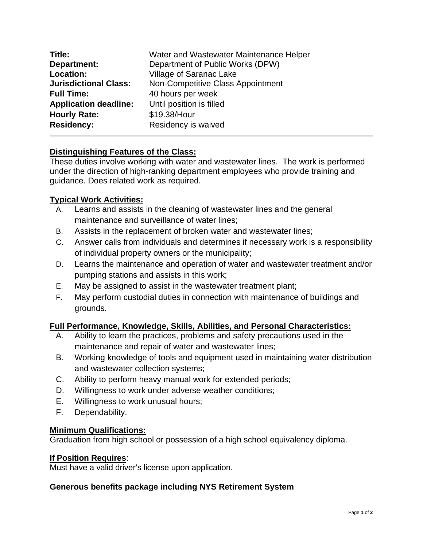| Title:                       | Water and Wastewater Maintenance Helper |
|------------------------------|-----------------------------------------|
| Department:                  | Department of Public Works (DPW)        |
| Location:                    | Village of Saranac Lake                 |
| <b>Jurisdictional Class:</b> | Non-Competitive Class Appointment       |
| <b>Full Time:</b>            | 40 hours per week                       |
| <b>Application deadline:</b> | Until position is filled                |
| <b>Hourly Rate:</b>          | \$19.38/Hour                            |
| <b>Residency:</b>            | Residency is waived                     |

# **Distinguishing Features of the Class:**

These duties involve working with water and wastewater lines. The work is performed under the direction of high-ranking department employees who provide training and guidance. Does related work as required.

### **Typical Work Activities:**

- A. Learns and assists in the cleaning of wastewater lines and the general maintenance and surveillance of water lines;
- B. Assists in the replacement of broken water and wastewater lines;
- C. Answer calls from individuals and determines if necessary work is a responsibility of individual property owners or the municipality;
- D. Learns the maintenance and operation of water and wastewater treatment and/or pumping stations and assists in this work;
- E. May be assigned to assist in the wastewater treatment plant;
- F. May perform custodial duties in connection with maintenance of buildings and grounds.

### **Full Performance, Knowledge, Skills, Abilities, and Personal Characteristics:**

- A. Ability to learn the practices, problems and safety precautions used in the maintenance and repair of water and wastewater lines;
- B. Working knowledge of tools and equipment used in maintaining water distribution and wastewater collection systems;
- C. Ability to perform heavy manual work for extended periods;
- D. Willingness to work under adverse weather conditions;
- E. Willingness to work unusual hours;
- F. Dependability.

### **Minimum Qualifications:**

Graduation from high school or possession of a high school equivalency diploma.

#### **If Position Requires**:

Must have a valid driver's license upon application.

### **Generous benefits package including NYS Retirement System**